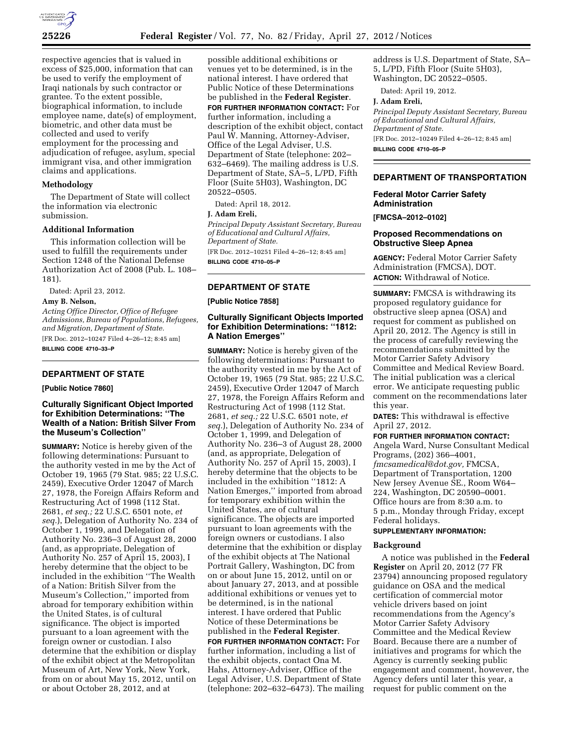

respective agencies that is valued in excess of \$25,000, information that can be used to verify the employment of Iraqi nationals by such contractor or grantee. To the extent possible, biographical information, to include employee name, date(s) of employment, biometric, and other data must be collected and used to verify employment for the processing and adjudication of refugee, asylum, special immigrant visa, and other immigration claims and applications.

#### **Methodology**

The Department of State will collect the information via electronic submission.

### **Additional Information**

This information collection will be used to fulfill the requirements under Section 1248 of the National Defense Authorization Act of 2008 (Pub. L. 108– 181).

Dated: April 23, 2012.

# **Amy B. Nelson,**

*Acting Office Director, Office of Refugee Admissions, Bureau of Populations, Refugees, and Migration, Department of State.*  [FR Doc. 2012–10247 Filed 4–26–12; 8:45 am] **BILLING CODE 4710–33–P** 

# **DEPARTMENT OF STATE**

**[Public Notice 7860]** 

### **Culturally Significant Object Imported for Exhibition Determinations: ''The Wealth of a Nation: British Silver From the Museum's Collection''**

**SUMMARY:** Notice is hereby given of the following determinations: Pursuant to the authority vested in me by the Act of October 19, 1965 (79 Stat. 985; 22 U.S.C. 2459), Executive Order 12047 of March 27, 1978, the Foreign Affairs Reform and Restructuring Act of 1998 (112 Stat. 2681, *et seq.;* 22 U.S.C. 6501 note, *et seq.*), Delegation of Authority No. 234 of October 1, 1999, and Delegation of Authority No. 236–3 of August 28, 2000 (and, as appropriate, Delegation of Authority No. 257 of April 15, 2003), I hereby determine that the object to be included in the exhibition ''The Wealth of a Nation: British Silver from the Museum's Collection,'' imported from abroad for temporary exhibition within the United States, is of cultural significance. The object is imported pursuant to a loan agreement with the foreign owner or custodian. I also determine that the exhibition or display of the exhibit object at the Metropolitan Museum of Art, New York, New York, from on or about May 15, 2012, until on or about October 28, 2012, and at

possible additional exhibitions or venues yet to be determined, is in the national interest. I have ordered that Public Notice of these Determinations be published in the **Federal Register**. **FOR FURTHER INFORMATION CONTACT:** For further information, including a description of the exhibit object, contact Paul W. Manning, Attorney-Adviser, Office of the Legal Adviser, U.S. Department of State (telephone: 202– 632–6469). The mailing address is U.S. Department of State, SA–5, L/PD, Fifth Floor (Suite 5H03), Washington, DC 20522–0505.

Dated: April 18, 2012.

# **J. Adam Ereli,**

*Principal Deputy Assistant Secretary, Bureau of Educational and Cultural Affairs, Department of State.* 

[FR Doc. 2012–10251 Filed 4–26–12; 8:45 am] **BILLING CODE 4710–05–P** 

### **DEPARTMENT OF STATE**

**[Public Notice 7858]** 

## **Culturally Significant Objects Imported for Exhibition Determinations: ''1812: A Nation Emerges''**

**SUMMARY:** Notice is hereby given of the following determinations: Pursuant to the authority vested in me by the Act of October 19, 1965 (79 Stat. 985; 22 U.S.C. 2459), Executive Order 12047 of March 27, 1978, the Foreign Affairs Reform and Restructuring Act of 1998 (112 Stat. 2681, *et seq.;* 22 U.S.C. 6501 note, *et seq.*), Delegation of Authority No. 234 of October 1, 1999, and Delegation of Authority No. 236–3 of August 28, 2000 (and, as appropriate, Delegation of Authority No. 257 of April 15, 2003), I hereby determine that the objects to be included in the exhibition ''1812: A Nation Emerges,'' imported from abroad for temporary exhibition within the United States, are of cultural significance. The objects are imported pursuant to loan agreements with the foreign owners or custodians. I also determine that the exhibition or display of the exhibit objects at The National Portrait Gallery, Washington, DC from on or about June 15, 2012, until on or about January 27, 2013, and at possible additional exhibitions or venues yet to be determined, is in the national interest. I have ordered that Public Notice of these Determinations be published in the **Federal Register**. **FOR FURTHER INFORMATION CONTACT:** For further information, including a list of the exhibit objects, contact Ona M. Hahs, Attorney-Adviser, Office of the Legal Adviser, U.S. Department of State (telephone: 202–632–6473). The mailing

address is U.S. Department of State, SA– 5, L/PD, Fifth Floor (Suite 5H03), Washington, DC 20522–0505.

Dated: April 19, 2012.

#### **J. Adam Ereli,**

*Principal Deputy Assistant Secretary, Bureau of Educational and Cultural Affairs, Department of State.*  [FR Doc. 2012–10249 Filed 4–26–12; 8:45 am]

**BILLING CODE 4710–05–P** 

#### **DEPARTMENT OF TRANSPORTATION**

# **Federal Motor Carrier Safety Administration**

**[FMCSA–2012–0102]** 

#### **Proposed Recommendations on Obstructive Sleep Apnea**

**AGENCY:** Federal Motor Carrier Safety Administration (FMCSA), DOT. **ACTION:** Withdrawal of Notice.

**SUMMARY:** FMCSA is withdrawing its proposed regulatory guidance for obstructive sleep apnea (OSA) and request for comment as published on April 20, 2012. The Agency is still in the process of carefully reviewing the recommendations submitted by the Motor Carrier Safety Advisory Committee and Medical Review Board. The initial publication was a clerical error. We anticipate requesting public comment on the recommendations later this year.

**DATES:** This withdrawal is effective April 27, 2012.

#### **FOR FURTHER INFORMATION CONTACT:**

Angela Ward, Nurse Consultant Medical Programs, (202) 366–4001, *[fmcsamedical@dot.gov,](mailto:fmcsamedical@dot.gov)* FMCSA, Department of Transportation, 1200 New Jersey Avenue SE., Room W64– 224, Washington, DC 20590–0001. Office hours are from 8:30 a.m. to 5 p.m., Monday through Friday, except Federal holidays.

# **SUPPLEMENTARY INFORMATION:**

### **Background**

A notice was published in the **Federal Register** on April 20, 2012 (77 FR 23794) announcing proposed regulatory guidance on OSA and the medical certification of commercial motor vehicle drivers based on joint recommendations from the Agency's Motor Carrier Safety Advisory Committee and the Medical Review Board. Because there are a number of initiatives and programs for which the Agency is currently seeking public engagement and comment, however, the Agency defers until later this year, a request for public comment on the